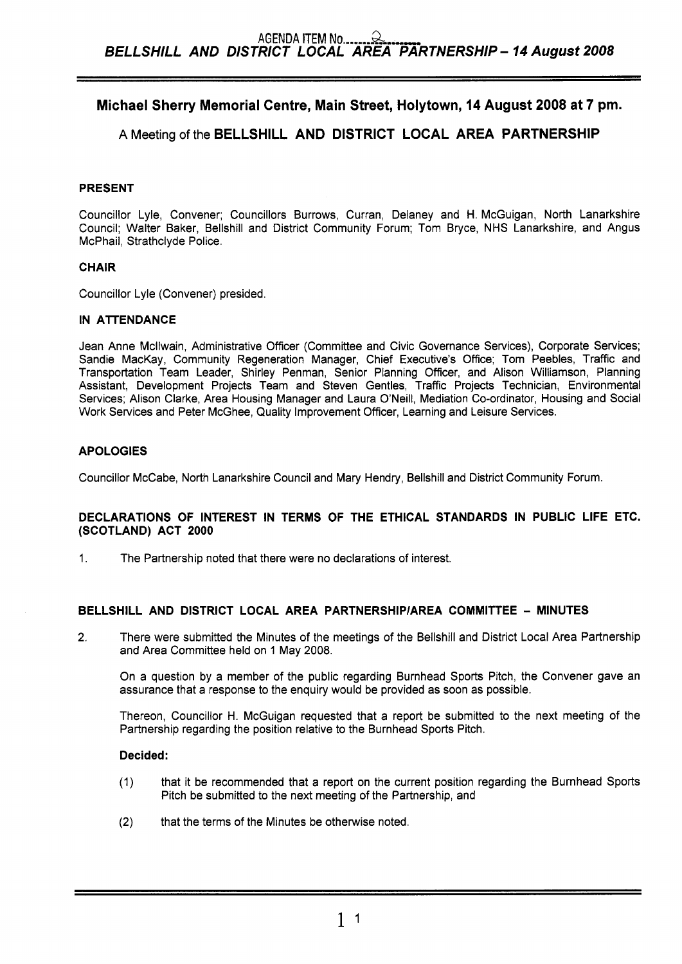# **Michael Sherry Memorial Centre, Main Street, Holytown, 14 August 2008 at 7 pm.**

# **A** Meeting of the **BELLSHILL AND DISTRICT LOCAL AREA PARTNERSHIP**

#### **PRESENT**

Councillor Lyle, Convener; Councillors Burrows, Curran, Delaney and H. McGuigan, North Lanarkshire Council; Walter Baker, Bellshill and District Community Forum; Tom Bryce, NHS Lanarkshire, and Angus McPhail, Strathclyde Police.

#### **CHAIR**

Councillor Lyle (Convener) presided.

~~~ ~

#### **IN ATTENDANCE**

Jean Anne Mcllwain, Administrative Officer (Committee and Civic Governance Services), Corporate Services; Sandie MacKay, Community Regeneration Manager, Chief Executive's Office; Tom Peebles, Traffic and Transportation Team Leader, Shirley Penman, Senior Planning Officer, and Alison Williamson, Planning Assistant, Development Projects Team and Steven Gentles, Traffic Projects Technician, Environmental Services; Alison Clarke, Area Housing Manager and Laura O'Neill, Mediation Co-ordinator, Housing and Social Work Services and Peter McGhee, Quality Improvement Officer, Learning and Leisure Services.

### **APOLOGIES**

Councillor McCabe, North Lanarkshire Council and Mary Hendry, Bellshill and District Community Forum.

#### **DECLARATIONS OF INTEREST IN TERMS OF THE ETHICAL STANDARDS IN PUBLIC LIFE ETC. (SCOTLAND) ACT 2000**

1. The Partnership noted that there were no declarations of interest.

### **BELLSHILL AND DISTRICT LOCAL AREA PARTNERSHlPlAREA COMMITTEE** - **MINUTES**

**2.** There were submitted the Minutes of the meetings of the Bellshill and District Local Area Partnership and Area Committee held on 1 May 2008.

On a question by a member of the public regarding Burnhead Sports Pitch, the Convener gave an assurance that a response to the enquiry would be provided as soon as possible.

Thereon, Councillor H. McGuigan requested that a report be submitted to the next meeting of the Partnership regarding the position relative to the Burnhead Sports Pitch.

#### **Decided:**

- (1) that it be recommended that a report on the current position regarding the Burnhead Sports Pitch be submitted *to* the next meeting of the Partnership, and
- **(2)** that the terms of the Minutes be otherwise noted.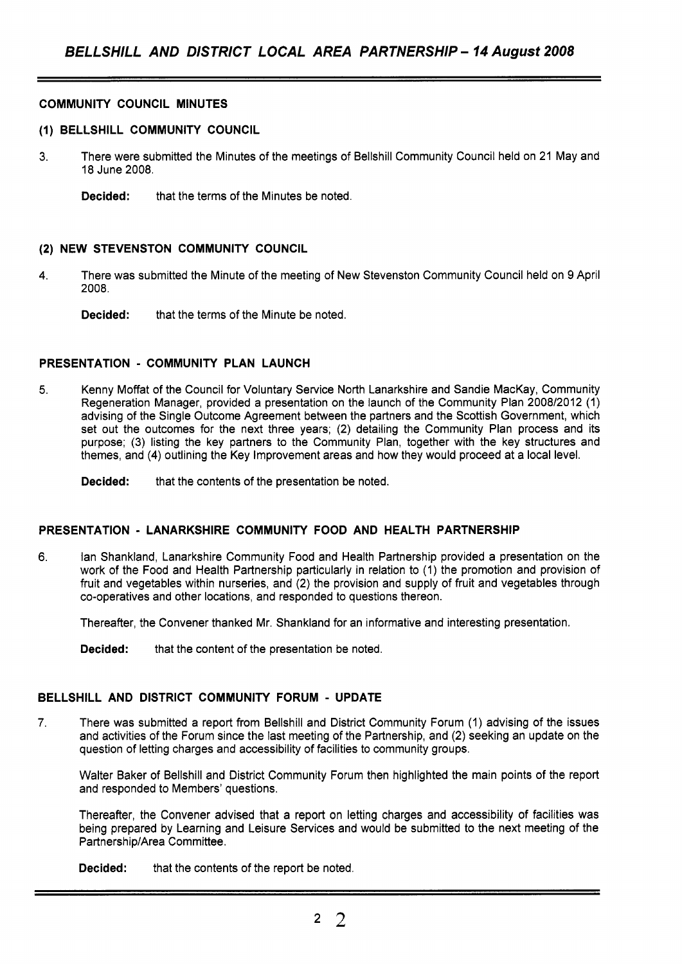#### **COMMUNITY COUNCIL MINUTES**

#### **(1) BELLSHILL COMMUNITY COUNCIL**

- **3.** There were submitted the Minutes of the meetings of Bellshill Community Council held on 21 May and 18 June 2008.
	- **Decided:** that the terms of the Minutes be noted.

#### **(2) NEW STEVENSTON COMMUNITY COUNCIL**

- **4.** There was submitted the Minute of the meeting of New Stevenston Community Council held on 9 April 2008.
	- **Decided:** that the terms of the Minute be noted.

#### **PRESENTATION** - **COMMUNITY PLAN LAUNCH**

**5.** Kenny Moffat of the Council for Voluntary Service North Lanarkshire and Sandie MacKay, Community Regeneration Manager, provided a presentation on the launch of the Community Plan 2008/2012 (1) advising of the Single Outcome Agreement between the partners and the Scottish Government, which set out the outcomes for the next three years; (2) detailing the Community Plan process and its purpose; (3) listing the key partners to the Community Plan, together with the key structures and themes, and **(4)** outlining the Key Improvement areas and how they would proceed at a local level.

**Decided:** that the contents of the presentation be noted.

#### **PRESENTATION** - **LANARKSHIRE COMMUNITY FOOD AND HEALTH PARTNERSHIP**

**6.** lan Shankland, Lanarkshire Community Food and Health Partnership provided a presentation on the work of the Food and Health Partnership particularly in relation to (1) the promotion and provision of fruit and vegetables within nurseries, and (2) the provision and supply of fruit and vegetables through co-operatives and other locations, and responded to questions thereon.

Thereafter, the Convener thanked Mr. Shankland for an informative and interesting presentation.

**Decided:** that the content of the presentation be noted.

#### **BELLSHILL AND DISTRICT COMMUNITY FORUM** - **UPDATE**

**7.** There was submitted a report from Bellshill and District Community Forum (1) advising of the issues and activities of the Forum since the last meeting of the Partnership, and (2) seeking an update on the question of letting charges and accessibility of facilities to community groups.

Walter Baker of Bellshill and District Community Forum then highlighted the main points of the report and responded to Members' questions.

Thereafter, the Convener advised that a report on letting charges and accessibility of facilities was being prepared by Learning and Leisure Services and would be submitted to the next meeting of the Partnership/Area Committee.

**Decided:** that the contents of the report be noted.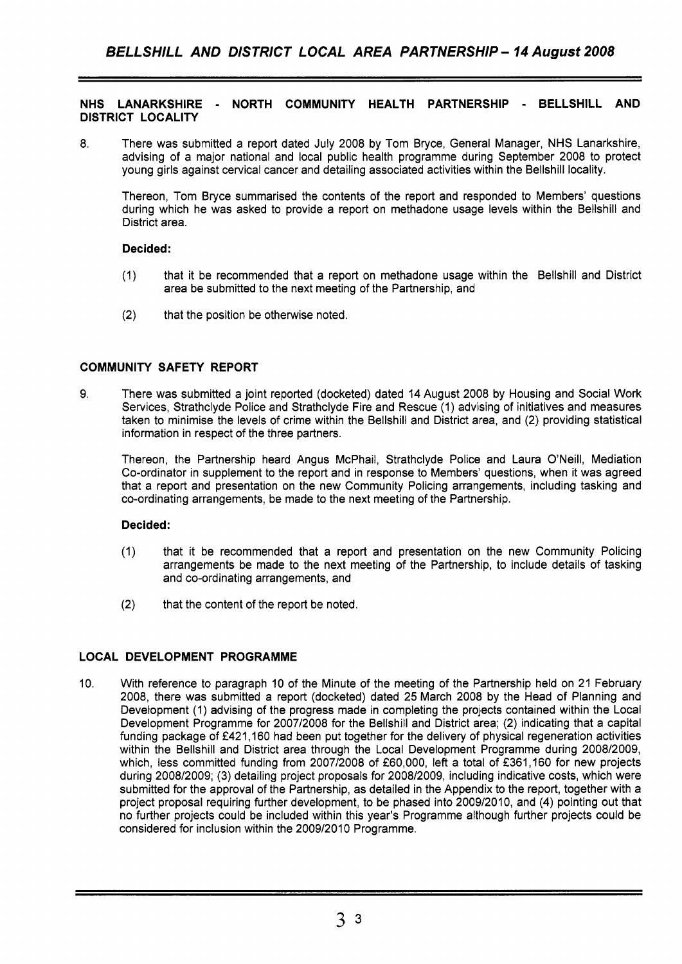**NHS LANARKSHIRE** - **NORTH COMMUNITY HEALTH PARTNERSHIP** - **BELLSHILL AND DISTRICT LOCALITY** 

8. There was submitted a report dated July 2008 by Tom Bryce, General Manager, NHS Lanarkshire, advising of a major national and local public health programme during September 2008 to protect young girls against cervical cancer and detailing associated activities within the Bellshill locality.

Thereon, Tom Bryce summarised the contents of the report and responded to Members' questions during which he was asked to provide a report on methadone usage levels within the Bellshill and District area.

#### **Decided:**

- (1) that it be recommended that a report on methadone usage within the Bellshill and District area be submitted to the next meeting of the Partnership, and
- (2) that the position be otherwise noted.

#### **COMMUNITY SAFETY REPORT**

9. There was submitted a joint reported (docketed) dated 14 August 2008 by Housing and Social Work Services, Strathclyde Police and Strathclyde Fire and Rescue (1) advising of initiatives and measures taken to minimise the levels of crime within the Bellshill and District area, and (2) providing statistical information in respect of the three partners.

Thereon, the Partnership heard Angus McPhail, Strathclyde Police and Laura O'Neill, Mediation Co-ordinator in supplement to the report and in response to Members' questions, when it was agreed that a report and presentation on the new Community Policing arrangements, including tasking and co-ordinating arrangements, be made to the next meeting of the Partnership.

#### **Decided:**

- (1) that it be recommended that a report and presentation on the new Community Policing arrangements be made to the next meeting of the Partnership, to include details of tasking and co-ordinating arrangements, and
- (2) that the content of the report be noted.

### **LOCAL DEVELOPMENT PROGRAMME**

10. With reference to paragraph 10 of the Minute of the meeting of the Partnership held on 21 February 2008, there was submitted a report (docketed) dated 25 March 2008 by the Head of Planning and Development (1) advising of the progress made in completing the projects contained within the Local Development Programme for 2007/2008 for the Bellshill and District area; (2) indicating that a capital funding package of €421,160 had been put together for the delivery of physical regeneration activities within the Bellshill and District area through the Local Development Programme during 2008/2009, which, less committed funding from 2007/2008 of £60,000, left a total of £361,160 for new projects during 2008/2009; (3) detailing project proposals for 2008/2009, including indicative costs, which were submitted for the approval of the Partnership, as detailed in the Appendix to the report, together with **a**  project proposal requiring further development, to be phased into 2009/2010, and **(4)** pointing out that no further projects could be included within this year's Programme although further projects could be considered for inclusion within the 2009/2010 Programme.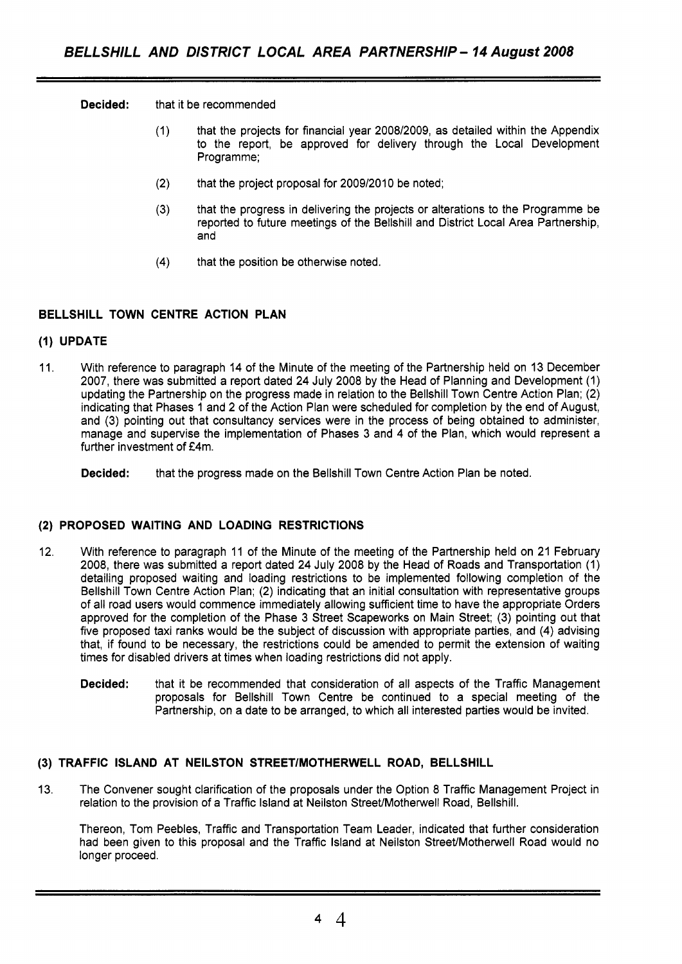**Decided:** that it be recommended

- (1) that the projects for financial year 2008/2009, as detailed within the Appendix to the report, be approved for delivery through the Local Development Programme;
- (2) that the project proposal for 2009/2010 be noted;
- (3) that the progress in delivering the projects or alterations to the Programme be reported to future meetings of the Bellshill and District Local Area Partnership, and
- (4) that the position be otherwise noted.

#### **BELLSHILL TOWN CENTRE ACTION PLAN**

#### **(1) UPDATE**

11. With reference to paragraph 14 of the Minute of the meeting of the Partnership held on 13 December 2007, there was submitted a report dated 24 July 2008 by the Head of Planning and Development (1) updating the Partnership on the progress made in relation to the Bellshill Town Centre Action Plan; (2) indicating that Phases 1 and 2 of the Action Plan were scheduled for completion by the end of August, and (3) pointing out that consultancy services were in the process of being obtained to administer, manage and supervise the implementation of Phases 3 and 4 of the Plan, which would represent a further investment of £4m.

**Decided:** that the progress made on the Bellshill Town Centre Action Plan be noted.

### **(2) PROPOSED WAITING AND LOADING RESTRICTIONS**

- 12 With reference to paragraph 11 of the Minute of the meeting of the Partnership held on 21 February 2008, there was submitted a report dated 24 July 2008 by the Head of Roads and Transportation (1) detailing proposed waiting and loading restrictions to be implemented following completion of the Bellshill Town Centre Action Plan; (2) indicating that an initial consultation with representative groups of all road users would commence immediately allowing sufficient time to have the appropriate Orders approved for the completion of the Phase 3 Street Scapeworks on Main Street; (3) pointing out that five proposed taxi ranks would be the subject of discussion with appropriate parties, and (4) advising that, if found to be necessary, the restrictions could be amended to permit the extension of waiting times for disabled drivers at times when loading restrictions did not apply.
	- **Decided:** that it be recommended that consideration of all aspects of the Traffic Management proposals for Bellshill Town Centre be continued to a special meeting of the Partnership, on a date to be arranged, to which all interested parties would be invited.

#### **(3) TRAFFIC ISLAND AT NEILSTON STREETIMOTHERWELL ROAD, BELLSHILL**

13. The Convener sought clarification of the proposals under the Option 8 Traffic Management Project in relation to the provision of a Traffic Island at Neilston Street/Motherwell Road, Bellshill.

Thereon, Tom Peebles, Traffic and Transportation Team Leader, indicated that further consideration had been given to this proposal and the Traffic Island at Neilston Street/Motherwell Road would no longer proceed.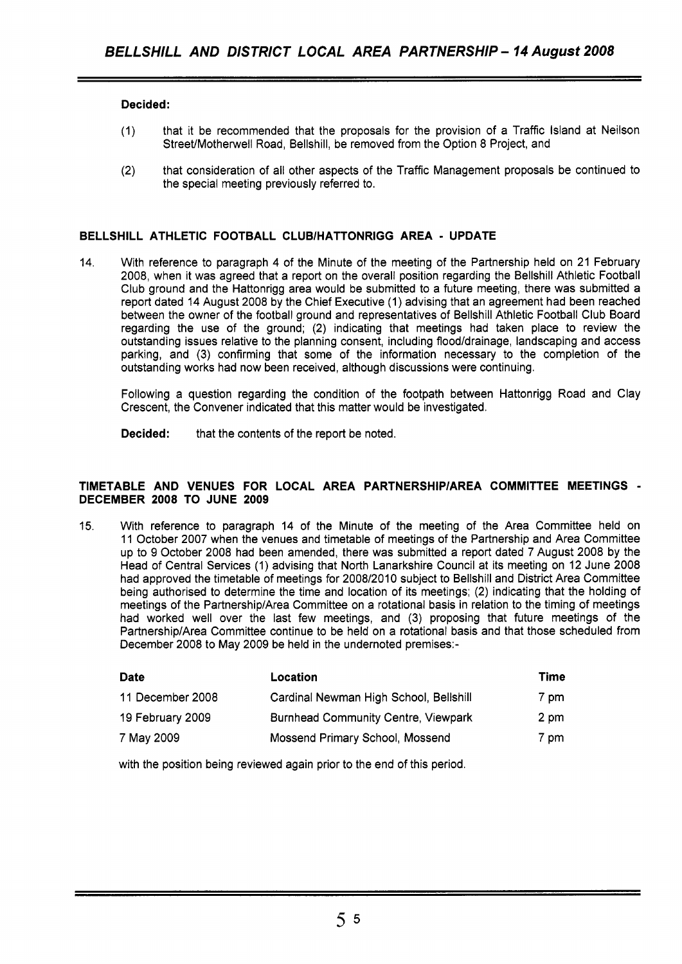#### **Decided:**

- (1) that it be recommended that the proposals for the provision of a Traffic Island at Neilson Street/Motherwell Road, Bellshill, be removed from the Option 8 Project, and
- (2) that consideration of all other aspects of the Traffic Management proposals be continued to the special meeting previously referred to.

#### **BELLSHILL ATHLETIC FOOTBALL CLUBlHATTONRlGG AREA** - **UPDATE**

14. With reference to paragraph 4 of the Minute of the meeting of the Partnership held on 21 February 2008, when it was agreed that a report on the overall position regarding the Bellshill Athletic Football Club ground and the Hattonrigg area would be submitted to a future meeting, there was submitted a report dated 14 August 2008 by the Chief Executive (1) advising that an agreement had been reached between the owner of the football ground and representatives of Bellshill Athletic Football Club Board regarding the use of the ground; (2) indicating that meetings had taken place to review the outstanding issues relative to the planning consent, including flood/drainage, landscaping and access parking, and (3) confirming that some of the information necessary to the completion of the outstanding works had now been received, although discussions were continuing.

Following a question regarding the condition of the footpath between Hattonrigg Road and Clay Crescent, the Convener indicated that this matter would be investigated.

**Decided:** that the contents of the report be noted.

#### **TIMETABLE AND VENUES FOR LOCAL AREA PARTNERSHlPlAREA COMMITTEE MEETINGS** - **DECEMBER 2008 TO JUNE 2009**

15. With reference to paragraph 14 of the Minute of the meeting of the Area Committee held on 11 October 2007 when the venues and timetable of meetings of the Partnership and Area Committee up to 9 October 2008 had been amended, there was submitted a report dated 7 August 2008 by the Head of Central Services (1) advising that North Lanarkshire Council at its meeting on 12 June 2008 had approved the timetable of meetings for 2008/2010 subject to Bellshill and District Area Committee being authorised to determine the time and location of its meetings; (2) indicating that the holding of meetings of the Partnership/Area Committee on a rotational basis in relation to the timing of meetings had worked well over the last few meetings, and (3) proposing that future meetings of the Partnership/Area Committee continue to be held on a rotational basis and that those scheduled from December 2008 to May 2009 be held in the undernoted premises:-

| <b>Date</b>      | Location                                   | Time |
|------------------|--------------------------------------------|------|
| 11 December 2008 | Cardinal Newman High School, Bellshill     | 7 pm |
| 19 February 2009 | <b>Burnhead Community Centre, Viewpark</b> | 2 pm |
| 7 May 2009       | Mossend Primary School, Mossend            | 7 pm |

with the position being reviewed again prior to the end of this period.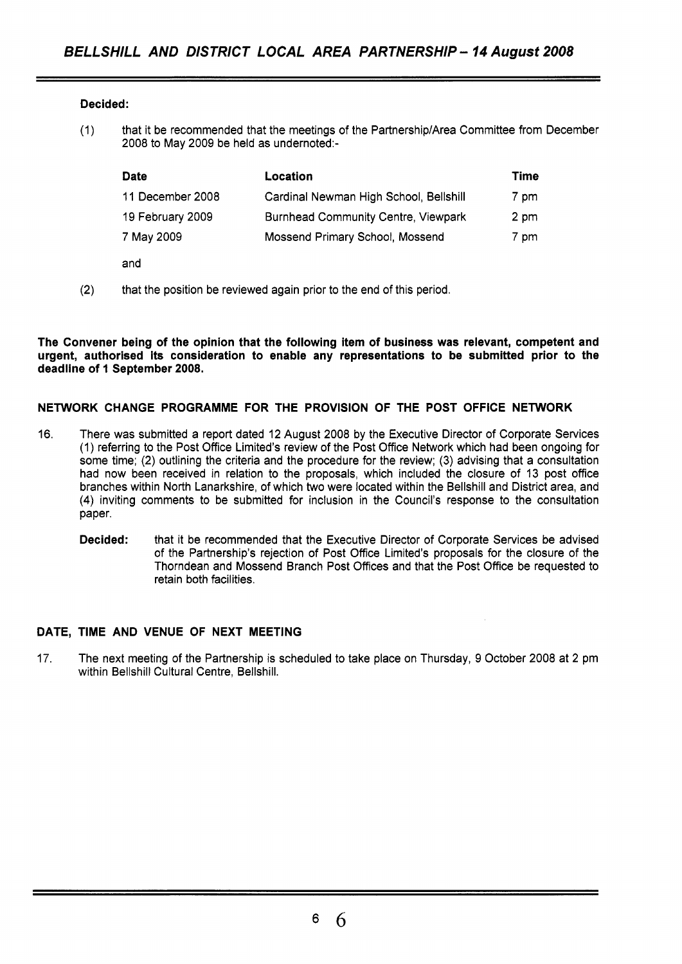#### **Decided:**

(1) that it be recommended that the meetings of the Partnership/Area Committee from December 2008 to May 2009 be held as undernoted:-

| <b>Date</b>      | Location                                   | Time |
|------------------|--------------------------------------------|------|
| 11 December 2008 | Cardinal Newman High School, Bellshill     | 7 pm |
| 19 February 2009 | <b>Burnhead Community Centre, Viewpark</b> | 2 pm |
| 7 May 2009       | Mossend Primary School, Mossend            | 7 pm |
| and              |                                            |      |

(2) that the position be reviewed again prior to the end of this period.

**The Convener being of the opinion that the following item of business was relevant, competent and urgent, authorised its consideration to enable any representations to be submitted prior to the deadline of 1 September 2008.** 

#### **NETWORK CHANGE PROGRAMME FOR THE PROVISION OF THE POST OFFICE NETWORK**

- 16. There was submitted a report dated 12 August 2008 by the Executive Director of Corporate Services (1) referring to the Post Office Limited's review of the Post Office Network which had been ongoing for some time; (2) outlining the criteria and the procedure for the review; (3) advising that a consultation had now been received in relation to the proposals, which included the closure of 13 post office branches within North Lanarkshire, of which two were located within the Bellshill and District area, and **(4)** inviting comments to be submitted for inclusion in the Council's response to the consultation paper.
	- **Decided:** that it be recommended that the Executive Director of Corporate Services be advised of the Partnership's rejection of Post Office Limited's proposals for the closure of the Thorndean and Mossend Branch Post Offices and that the Post Office be requested to retain both facilities.

### **DATE, TIME AND VENUE OF NEXT MEETING**

17. The next meeting of the Partnership is scheduled to take place on Thursday, 9 October 2008 at **2** pm within Bellshill Cultural Centre, Bellshill.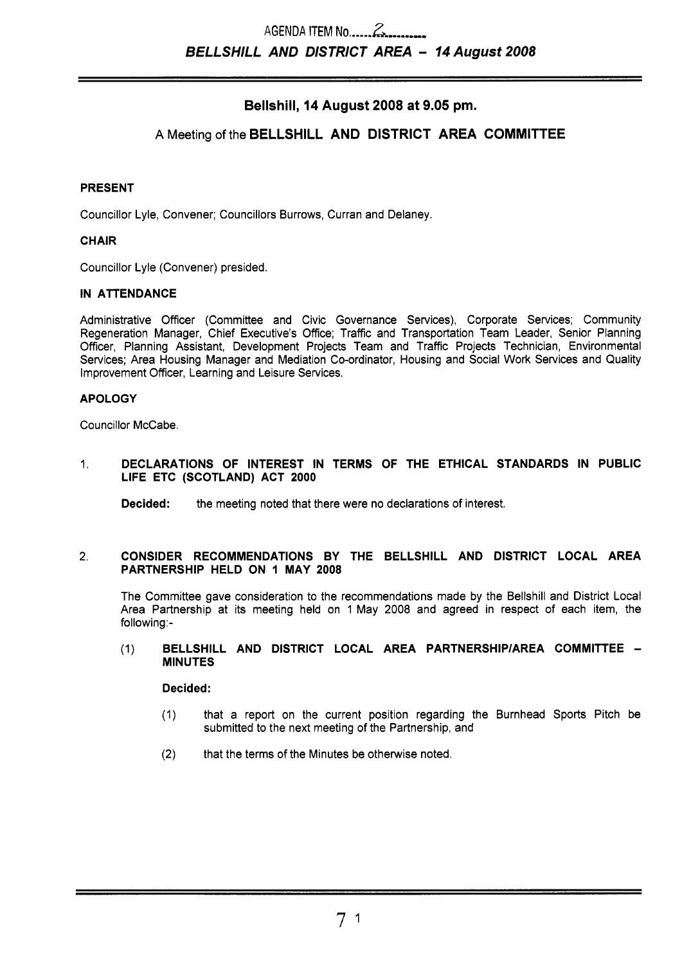# **Bellshill, 14 August 2008 at 9.05 pm.**

# **A** Meeting of the **BELLSHILL AND DISTRICT AREA COMMITTEE**

#### **PRESENT**

Councillor Lyle, Convener; Councillors Burrows, Curran and Delaney.

#### **CHAIR**

Councillor Lyle (Convener) presided.

#### **IN ATTENDANCE**

Administrative Officer (Committee and Civic Governance Services), Corporate Services; Community Regeneration Manager, Chief Executive's Office; Traffic and Transportation Team Leader, Senior Planning Officer, Planning Assistant, Development Projects Team and Traffic Projects Technician, Environmental Services; Area Housing Manager and Mediation Co-ordinator, Housing and Social Work Services and Quality Improvement Officer, Learning and Leisure Services.

#### **APOLOGY**

Councillor McCabe.

#### 1. **DECLARATIONS OF INTEREST IN TERMS OF THE ETHICAL STANDARDS IN PUBLIC LIFE ETC (SCOTLAND) ACT 2000**

**Decided:** the meeting noted that there were no declarations of interest.

#### **2. CONSIDER RECOMMENDATIONS BY THE BELLSHILL AND DISTRICT LOCAL AREA PARTNERSHIP HELD ON 1 MAY 2008**

The Committee gave consideration to the recommendations made by the Bellshill and District Local Area Partnership at its meeting held on 1 May 2008 and agreed in respect of each item, the following:-

#### (1) **BELLSHILL AND DISTRICT LOCAL AREA PARTNERSHIPIAREA COMMITTEE** - **MINUTES**

**Decided:** 

- (1) that a report on the current position regarding the Burnhead Sports Pitch be submitted to the next meeting of the Partnership, and
- **(2)** that the terms of the Minutes be otherwise noted.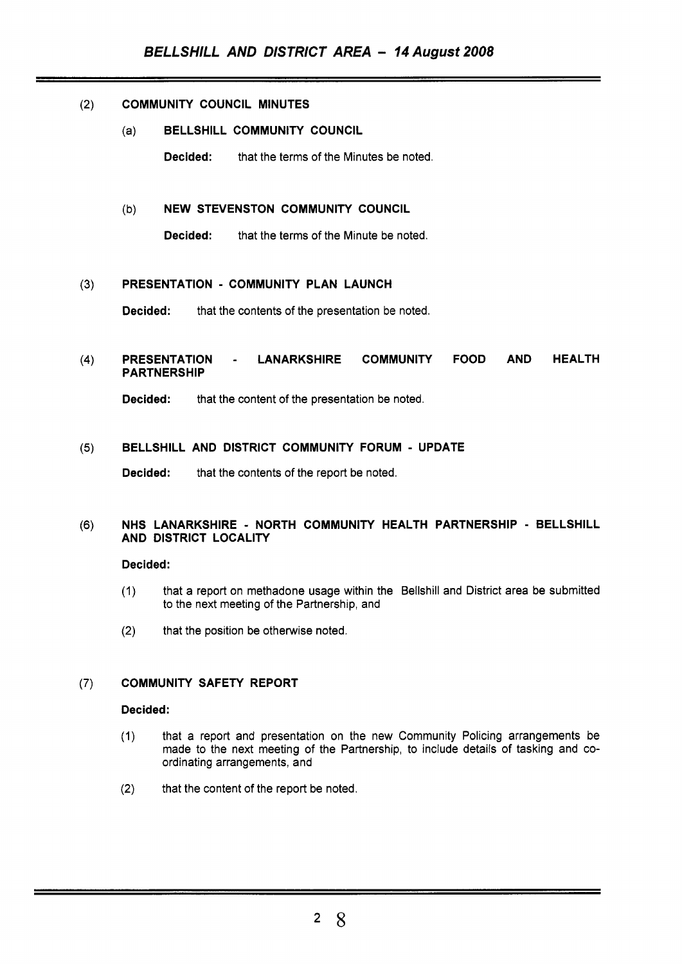#### $(2)$ **COMMUNITY COUNCIL MINUTES**

- (a) **BELLSHILL COMMUNITY COUNCIL** 
	- **Decided:** that the terms of the Minutes be noted.

#### (b) **NEW STEVENSTON COMMUNITY COUNCIL**

**Decided:** that the terms of the Minute be noted.

#### **PRESENTATION** - **COMMUNITY PLAN LAUNCH**   $(3)$

**Decided:** that the contents of the presentation be noted.

#### $(4)$ **PRESENTATION** - **LANARKSHIRE COMMUNITY FOOD AND HEALTH PARTNERSHIP**

**Decided:** that the content of the presentation be noted.

#### $(5)$ **BELLSHILL AND DISTRICT COMMUNITY FORUM** - **UPDATE**

**Decided:** that the contents of the report be noted.

#### $(6)$ **NHS LANARKSHIRE** - **NORTH COMMUNITY HEALTH PARTNERSHIP** - **BELLSHILL AND DISTRICT LOCALITY**

#### **Decided:**

- (1) that a report on methadone usage within the Bellshill and District area be submitted to the next meeting of the Partnership, and
- (2) that the position be otherwise noted.

#### $(7)$ **COMMUNITY SAFETY REPORT**

#### **Decided:**

- (1) that a report and presentation on the new Community Policing arrangements be made to the next meeting of the Partnership, to include details of tasking and coordinating arrangements, and
- $(2)$  that the content of the report be noted.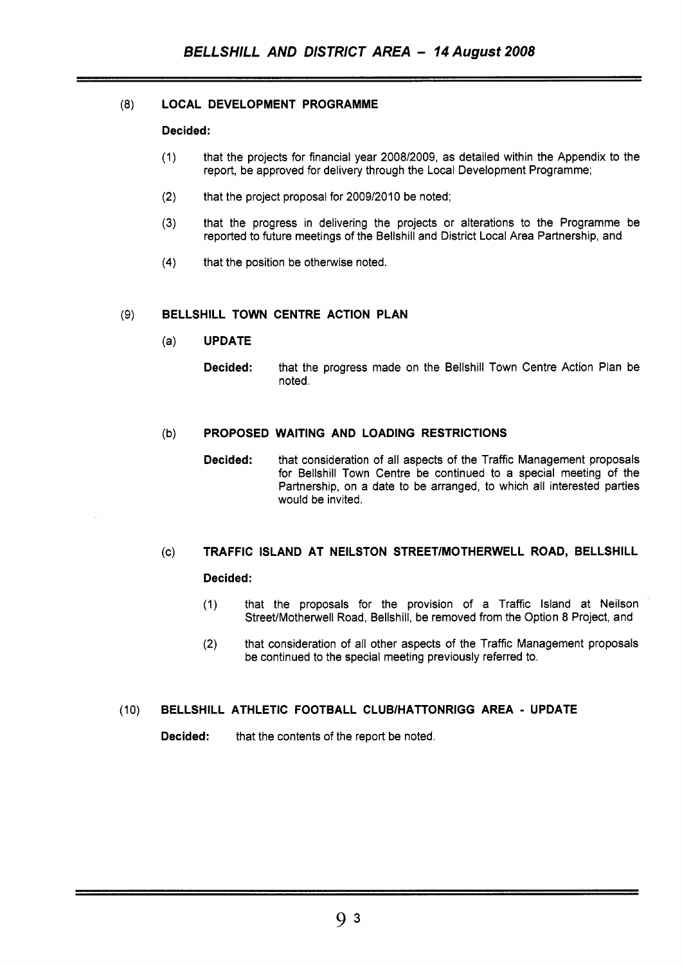#### **(8) LOCAL DEVELOPMENT PROGRAMME**

#### **Decided:**

- (1) that the projects for financial year 200812009, as detailed within the Appendix to the report, be approved for delivery through the Local Development Programme;
- (2) that the project proposal for 2009/2010 be noted;
- **(3)** that the progress in delivering the projects or alterations to the Programme be reported to future meetings of the Bellshill and District Local Area Partnership, and
- **(4)** that the position be otherwise noted.

#### (9) **BELLSHILL TOWN CENTRE ACTION PLAN**

- (a) **UPDATE** 
	- **Decided:** that the progress made on the Bellshill Town Centre Action Plan be noted.

#### (b) **PROPOSED WAITING AND LOADING RESTRICTIONS**

**Decided:** that consideration of all aspects of the Traffic Management proposals for Bellshill Town Centre be continued to a special meeting of the Partnership, on a date to be arranged, to which all interested parties would be invited.

# (c) **TRAFFIC ISLAND AT NEILSTON STREETlMOTHERWELL ROAD, BELLSHILL**

## **Decided:**

- (1) that the proposals for the provision of a Traffic Island at Neilson Street/Motherwell Road, Bellshill, be removed from the Option **8** Project, and
- (2) that consideration of all other aspects of the Traffic Management proposals be continued to the special meeting previously referred to.

### (10) **BELLSHILL ATHLETIC FOOTBALL CLUBlHATTONRlGG AREA** - **UPDATE**

**Decided:** that the contents of the report be noted.